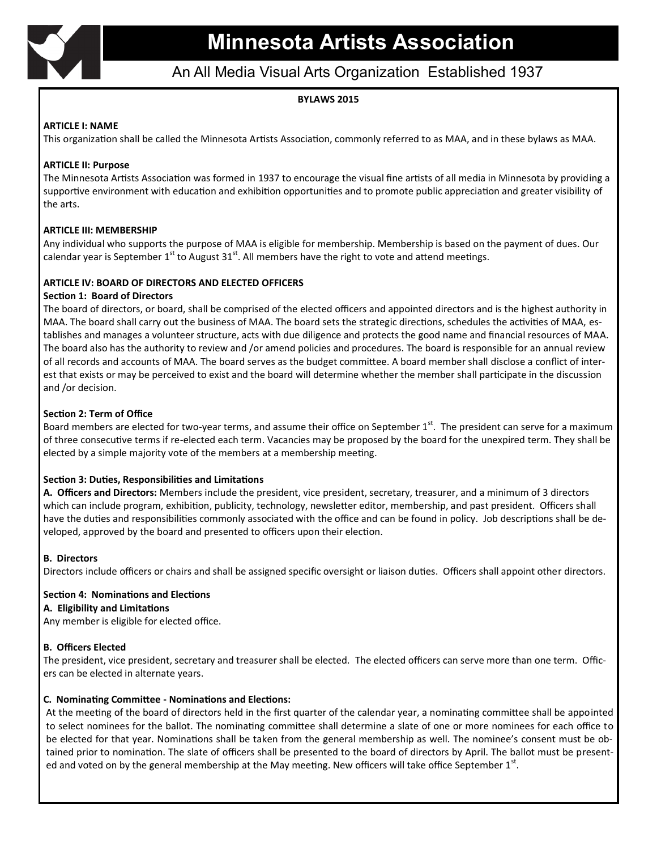

## An All Media Visual Arts Organization Established 1937

## **BYLAWS 2015**

#### **ARTICLE I: NAME**

This organization shall be called the Minnesota Artists Association, commonly referred to as MAA, and in these bylaws as MAA.

#### **ARTICLE II: Purpose**

The Minnesota Artists Association was formed in 1937 to encourage the visual fine artists of all media in Minnesota by providing a supportive environment with education and exhibition opportunities and to promote public appreciation and greater visibility of the arts.

## **ARTICLE III: MEMBERSHIP**

Any individual who supports the purpose of MAA is eligible for membership. Membership is based on the payment of dues. Our calendar year is September  $1^{st}$  to August 31<sup>st</sup>. All members have the right to vote and attend meetings.

## **ARTICLE IV: BOARD OF DIRECTORS AND ELECTED OFFICERS**

#### **Section 1: Board of Directors**

The board of directors, or board, shall be comprised of the elected officers and appointed directors and is the highest authority in MAA. The board shall carry out the business of MAA. The board sets the strategic directions, schedules the activities of MAA, establishes and manages a volunteer structure, acts with due diligence and protects the good name and financial resources of MAA. The board also has the authority to review and /or amend policies and procedures. The board is responsible for an annual review of all records and accounts of MAA. The board serves as the budget committee. A board member shall disclose a conflict of interest that exists or may be perceived to exist and the board will determine whether the member shall participate in the discussion and /or decision.

#### **Section 2: Term of Office**

Board members are elected for two-year terms, and assume their office on September  $1<sup>st</sup>$ . The president can serve for a maximum of three consecutive terms if re-elected each term. Vacancies may be proposed by the board for the unexpired term. They shall be elected by a simple majority vote of the members at a membership meeting.

#### **Section 3: Duties, Responsibilities and Limitations**

**A. Officers and Directors:** Members include the president, vice president, secretary, treasurer, and a minimum of 3 directors which can include program, exhibition, publicity, technology, newsletter editor, membership, and past president. Officers shall have the duties and responsibilities commonly associated with the office and can be found in policy. Job descriptions shall be developed, approved by the board and presented to officers upon their election.

#### **B. Directors**

Directors include officers or chairs and shall be assigned specific oversight or liaison duties. Officers shall appoint other directors.

#### **Section 4: Nominations and Elections**

#### **A. Eligibility and Limitations**

Any member is eligible for elected office.

## **B. Officers Elected**

The president, vice president, secretary and treasurer shall be elected. The elected officers can serve more than one term. Officers can be elected in alternate years.

#### **C. Nominating Committee - Nominations and Elections:**

At the meeting of the board of directors held in the first quarter of the calendar year, a nominating committee shall be appointed to select nominees for the ballot. The nominating committee shall determine a slate of one or more nominees for each office to be elected for that year. Nominations shall be taken from the general membership as well. The nominee's consent must be obtained prior to nomination. The slate of officers shall be presented to the board of directors by April. The ballot must be presented and voted on by the general membership at the May meeting. New officers will take office September  $1^{st}$ .